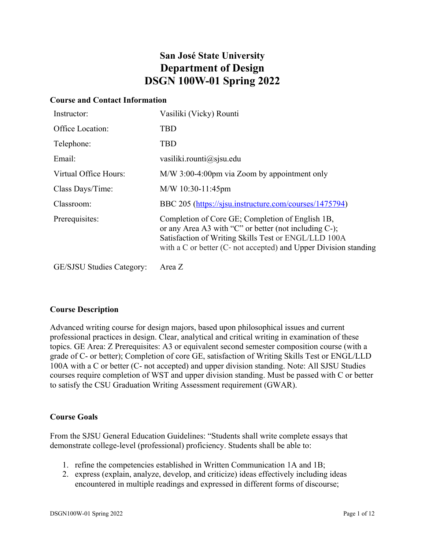# **San José State University Department of Design DSGN 100W-01 Spring 2022**

#### **Course and Contact Information**

| Instructor:                      | Vasiliki (Vicky) Rounti                                                                                                                                                                                                               |
|----------------------------------|---------------------------------------------------------------------------------------------------------------------------------------------------------------------------------------------------------------------------------------|
| Office Location:                 | TBD                                                                                                                                                                                                                                   |
| Telephone:                       | <b>TBD</b>                                                                                                                                                                                                                            |
| Email:                           | vasiliki.rounti $\omega$ sjsu.edu                                                                                                                                                                                                     |
| Virtual Office Hours:            | M/W 3:00-4:00pm via Zoom by appointment only                                                                                                                                                                                          |
| Class Days/Time:                 | $M/W$ 10:30-11:45pm                                                                                                                                                                                                                   |
| Classroom:                       | BBC 205 (https://sjsu.instructure.com/courses/1475794)                                                                                                                                                                                |
| Prerequisites:                   | Completion of Core GE; Completion of English 1B,<br>or any Area A3 with "C" or better (not including C-);<br>Satisfaction of Writing Skills Test or ENGL/LLD 100A<br>with a C or better (C- not accepted) and Upper Division standing |
| <b>GE/SJSU Studies Category:</b> | Area Z                                                                                                                                                                                                                                |

# **Course Description**

Advanced writing course for design majors, based upon philosophical issues and current professional practices in design. Clear, analytical and critical writing in examination of these topics. GE Area: Z Prerequisites: A3 or equivalent second semester composition course (with a grade of C- or better); Completion of core GE, satisfaction of Writing Skills Test or ENGL/LLD 100A with a C or better (C‐ not accepted) and upper division standing. Note: All SJSU Studies courses require completion of WST and upper division standing. Must be passed with C or better to satisfy the CSU Graduation Writing Assessment requirement (GWAR).

# **Course Goals**

From the SJSU General Education Guidelines: "Students shall write complete essays that demonstrate college-level (professional) proficiency. Students shall be able to:

- 1. refine the competencies established in Written Communication 1A and 1B;
- 2. express (explain, analyze, develop, and criticize) ideas effectively including ideas encountered in multiple readings and expressed in different forms of discourse;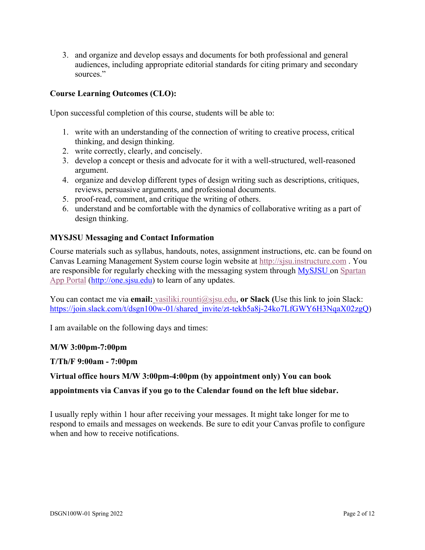3. and organize and develop essays and documents for both professional and general audiences, including appropriate editorial standards for citing primary and secondary sources."

# **Course Learning Outcomes (CLO):**

Upon successful completion of this course, students will be able to:

- 1. write with an understanding of the connection of writing to creative process, critical thinking, and design thinking.
- 2. write correctly, clearly, and concisely.
- 3. develop a concept or thesis and advocate for it with a well-structured, well-reasoned argument.
- 4. organize and develop different types of design writing such as descriptions, critiques, reviews, persuasive arguments, and professional documents.
- 5. proof-read, comment, and critique the writing of others.
- 6. understand and be comfortable with the dynamics of collaborative writing as a part of design thinking.

#### **MYSJSU Messaging and Contact Information**

Course materials such as syllabus, handouts, notes, assignment instructions, etc. can be found on Canvas Learning Management System course login website at http://sjsu.instructure.com . You are responsible for regularly checking with the messaging system through MySJSU on Spartan App Portal (http://one.sjsu.edu) to learn of any updates.

You can contact me via **email:** vasiliki.rounti@sjsu.edu, **or Slack (**Use this link to join Slack: https://join.slack.com/t/dsgn100w-01/shared\_invite/zt-tekb5a8j-24ko7LfGWY6H3NqaX02zgQ)

I am available on the following days and times:

#### **M/W 3:00pm-7:00pm**

#### **T/Th/F 9:00am - 7:00pm**

#### **Virtual office hours M/W 3:00pm-4:00pm (by appointment only) You can book**

**appointments via Canvas if you go to the Calendar found on the left blue sidebar.**

I usually reply within 1 hour after receiving your messages. It might take longer for me to respond to emails and messages on weekends. Be sure to edit your Canvas profile to configure when and how to receive notifications.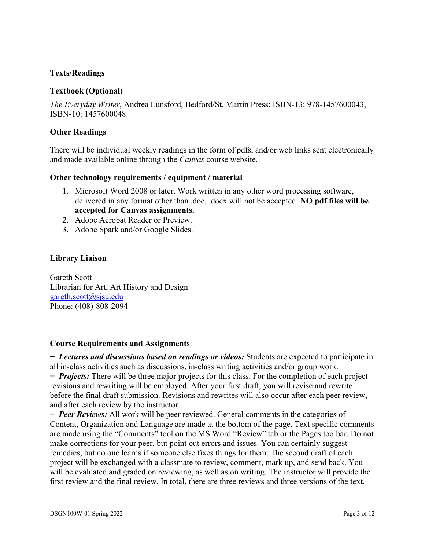### **Texts/Readings**

#### **Textbook (Optional)**

*The Everyday Writer*, Andrea Lunsford, Bedford/St. Martin Press: ISBN-13: 978-1457600043, ISBN-10: 1457600048.

#### **Other Readings**

There will be individual weekly readings in the form of pdfs, and/or web links sent electronically and made available online through the *Canvas* course website.

#### **Other technology requirements / equipment / material**

- 1. Microsoft Word 2008 or later. Work written in any other word processing software, delivered in any format other than .doc, .docx will not be accepted. **NO pdf files will be accepted for Canvas assignments.**
- 2. Adobe Acrobat Reader or Preview.
- 3. Adobe Spark and/or Google Slides.

#### **Library Liaison**

Gareth Scott Librarian for Art, Art History and Design gareth.scott@sjsu.edu Phone: (408)-808-2094

#### **Course Requirements and Assignments**

**−** *Lectures and discussions based on readings or videos:* Students are expected to participate in all in-class activities such as discussions, in-class writing activities and/or group work. **−** *Projects:* There will be three major projects for this class. For the completion of each project revisions and rewriting will be employed. After your first draft, you will revise and rewrite before the final draft submission. Revisions and rewrites will also occur after each peer review, and after each review by the instructor.

**−** *Peer Reviews:* All work will be peer reviewed. General comments in the categories of Content, Organization and Language are made at the bottom of the page. Text specific comments are made using the "Comments" tool on the MS Word "Review" tab or the Pages toolbar. Do not make corrections for your peer, but point out errors and issues. You can certainly suggest remedies, but no one learns if someone else fixes things for them. The second draft of each project will be exchanged with a classmate to review, comment, mark up, and send back. You will be evaluated and graded on reviewing, as well as on writing. The instructor will provide the first review and the final review. In total, there are three reviews and three versions of the text.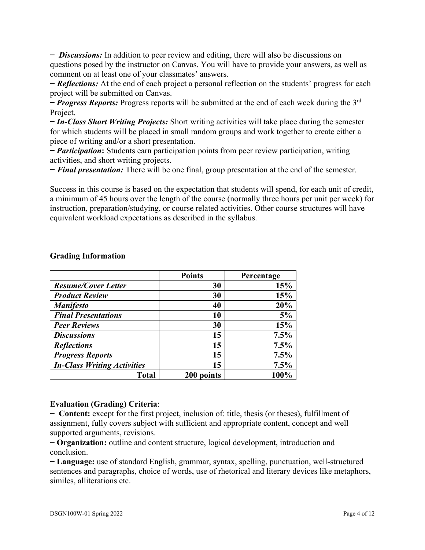**−** *Discussions:* In addition to peer review and editing, there will also be discussions on questions posed by the instructor on Canvas. You will have to provide your answers, as well as comment on at least one of your classmates' answers.

*− Reflections:* At the end of each project a personal reflection on the students' progress for each project will be submitted on Canvas.

**−** *Progress Reports:* Progress reports will be submitted at the end of each week during the 3rd Project.

**−** *In-Class Short Writing Projects:* Short writing activities will take place during the semester for which students will be placed in small random groups and work together to create either a piece of writing and/or a short presentation.

**−** *Participation***:** Students earn participation points from peer review participation, writing activities, and short writing projects.

*− Final presentation:* There will be one final, group presentation at the end of the semester.

Success in this course is based on the expectation that students will spend, for each unit of credit, a minimum of 45 hours over the length of the course (normally three hours per unit per week) for instruction, preparation/studying, or course related activities. Other course structures will have equivalent workload expectations as described in the syllabus.

|                                    | <b>Points</b> | Percentage |
|------------------------------------|---------------|------------|
| <b>Resume/Cover Letter</b>         | 30            | 15%        |
| <b>Product Review</b>              | 30            | 15%        |
| <b>Manifesto</b>                   | 40            | 20%        |
| <b>Final Presentations</b>         | 10            | 5%         |
| <b>Peer Reviews</b>                | 30            | 15%        |
| <b>Discussions</b>                 | 15            | 7.5%       |
| <b>Reflections</b>                 | 15            | 7.5%       |
| <b>Progress Reports</b>            | 15            | 7.5%       |
| <b>In-Class Writing Activities</b> | 15            | 7.5%       |
| <b>Total</b>                       | 200 points    | 100%       |

#### **Grading Information**

#### **Evaluation (Grading) Criteria**:

**− Content:** except for the first project, inclusion of: title, thesis (or theses), fulfillment of assignment, fully covers subject with sufficient and appropriate content, concept and well supported arguments, revisions.

**− Organization:** outline and content structure, logical development, introduction and conclusion.

**− Language:** use of standard English, grammar, syntax, spelling, punctuation, well-structured sentences and paragraphs, choice of words, use of rhetorical and literary devices like metaphors, similes, alliterations etc.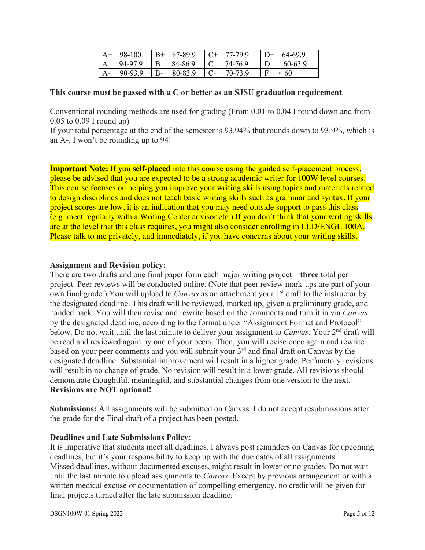| $A^+$             | 98-100  | $B+$         | 87-89.9 | 77-79.9 | $\overline{D}$ | 64-69.9 |
|-------------------|---------|--------------|---------|---------|----------------|---------|
| $^{\mathsf{I}}$ A | 94-97.9 | $\mathbf{B}$ | 84-86.9 | 74-76.9 |                | 60-63.9 |
| $A-$              | 90-93.9 | $\cdot$ B-   | 80-83.9 | 70-73.9 |                | - 60    |

#### **This course must be passed with a C or better as an SJSU graduation requirement**.

Conventional rounding methods are used for grading (From 0.01 to 0.04 I round down and from 0.05 to 0.09 I round up)

If your total percentage at the end of the semester is 93.94% that rounds down to 93.9%, which is an A-. I won't be rounding up to 94!

**Important Note:** If you **self-placed** into this course using the guided self-placement process, please be advised that you are expected to be a strong academic writer for 100W level courses. This course focuses on helping you improve your writing skills using topics and materials related to design disciplines and does not teach basic writing skills such as grammar and syntax. If your project scores are low, it is an indication that you may need outside support to pass this class (e.g. meet regularly with a Writing Center advisor etc.) If you don't think that your writing skills are at the level that this class requires, you might also consider enrolling in LLD/ENGL 100A. Please talk to me privately, and immediately, if you have concerns about your writing skills.

#### **Assignment and Revision policy:**

There are two drafts and one final paper form each major writing project – **three** total per project. Peer reviews will be conducted online. (Note that peer review mark-ups are part of your own final grade.) You will upload to *Canvas* as an attachment your 1<sup>st</sup> draft to the instructor by the designated deadline. This draft will be reviewed, marked up, given a preliminary grade, and handed back. You will then revise and rewrite based on the comments and turn it in via *Canvas*  by the designated deadline, according to the format under "Assignment Format and Protocol" below. Do not wait until the last minute to deliver your assignment to *Canvas*. Your 2nd draft will be read and reviewed again by one of your peers. Then, you will revise once again and rewrite based on your peer comments and you will submit your 3<sup>rd</sup> and final draft on Canvas by the designated deadline. Substantial improvement will result in a higher grade. Perfunctory revisions will result in no change of grade. No revision will result in a lower grade. All revisions should demonstrate thoughtful, meaningful, and substantial changes from one version to the next. **Revisions are NOT optional!**

**Submissions:** All assignments will be submitted on Canvas. I do not accept resubmissions after the grade for the Final draft of a project has been posted.

#### **Deadlines and Late Submissions Policy:**

It is imperative that students meet all deadlines. I always post reminders on Canvas for upcoming deadlines, but it's your responsibility to keep up with the due dates of all assignments. Missed deadlines, without documented excuses, might result in lower or no grades. Do not wait until the last minute to upload assignments to *Canvas*. Except by previous arrangement or with a written medical excuse or documentation of compelling emergency, no credit will be given for final projects turned after the late submission deadline.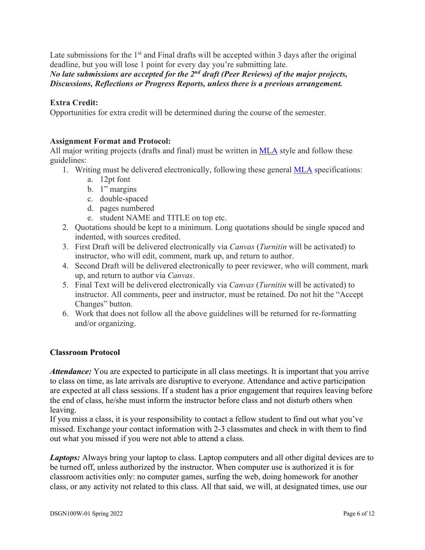Late submissions for the  $1<sup>st</sup>$  and Final drafts will be accepted within 3 days after the original deadline, but you will lose 1 point for every day you're submitting late.

# *No late submissions are accepted for the 2nd draft (Peer Reviews) of the major projects, Discussions, Reflections or Progress Reports, unless there is a previous arrangement.*

#### **Extra Credit:**

Opportunities for extra credit will be determined during the course of the semester.

#### **Assignment Format and Protocol:**

All major writing projects (drafts and final) must be written in **MLA** style and follow these guidelines:

- 1. Writing must be delivered electronically, following these general MLA specifications:
	- a. 12pt font
	- b. 1" margins
	- c. double-spaced
	- d. pages numbered
	- e. student NAME and TITLE on top etc.
- 2. Quotations should be kept to a minimum. Long quotations should be single spaced and indented, with sources credited.
- 3. First Draft will be delivered electronically via *Canvas* (*Turnitin* will be activated) to instructor, who will edit, comment, mark up, and return to author.
- 4. Second Draft will be delivered electronically to peer reviewer, who will comment, mark up, and return to author via *Canvas*.
- 5. Final Text will be delivered electronically via *Canvas* (*Turnitin* will be activated) to instructor. All comments, peer and instructor, must be retained. Do not hit the "Accept Changes" button.
- 6. Work that does not follow all the above guidelines will be returned for re-formatting and/or organizing.

#### **Classroom Protocol**

*Attendance:* You are expected to participate in all class meetings. It is important that you arrive to class on time, as late arrivals are disruptive to everyone. Attendance and active participation are expected at all class sessions. If a student has a prior engagement that requires leaving before the end of class, he/she must inform the instructor before class and not disturb others when leaving.

If you miss a class, it is your responsibility to contact a fellow student to find out what you've missed. Exchange your contact information with 2-3 classmates and check in with them to find out what you missed if you were not able to attend a class.

*Laptops:* Always bring your laptop to class. Laptop computers and all other digital devices are to be turned off, unless authorized by the instructor. When computer use is authorized it is for classroom activities only: no computer games, surfing the web, doing homework for another class, or any activity not related to this class. All that said, we will, at designated times, use our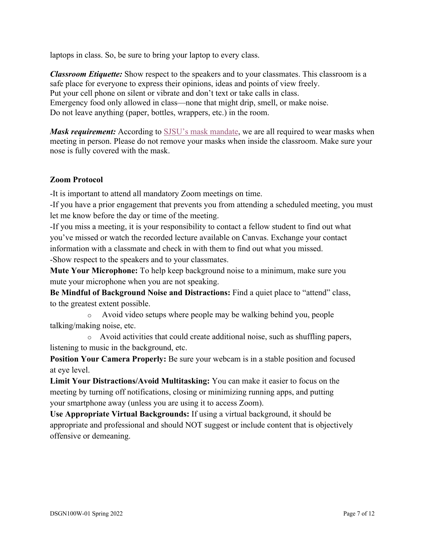laptops in class. So, be sure to bring your laptop to every class.

*Classroom Etiquette:* Show respect to the speakers and to your classmates. This classroom is a safe place for everyone to express their opinions, ideas and points of view freely. Put your cell phone on silent or vibrate and don't text or take calls in class. Emergency food only allowed in class—none that might drip, smell, or make noise. Do not leave anything (paper, bottles, wrappers, etc.) in the room.

*Mask requirement:* According to SJSU's mask mandate, we are all required to wear masks when meeting in person. Please do not remove your masks when inside the classroom. Make sure your nose is fully covered with the mask.

### **Zoom Protocol**

-It is important to attend all mandatory Zoom meetings on time.

-If you have a prior engagement that prevents you from attending a scheduled meeting, you must let me know before the day or time of the meeting.

-If you miss a meeting, it is your responsibility to contact a fellow student to find out what you've missed or watch the recorded lecture available on Canvas. Exchange your contact information with a classmate and check in with them to find out what you missed. -Show respect to the speakers and to your classmates.

**Mute Your Microphone:** To help keep background noise to a minimum, make sure you mute your microphone when you are not speaking.

**Be Mindful of Background Noise and Distractions:** Find a quiet place to "attend" class, to the greatest extent possible.

o Avoid video setups where people may be walking behind you, people talking/making noise, etc.

o Avoid activities that could create additional noise, such as shuffling papers, listening to music in the background, etc.

**Position Your Camera Properly:** Be sure your webcam is in a stable position and focused at eye level.

**Limit Your Distractions/Avoid Multitasking:** You can make it easier to focus on the meeting by turning off notifications, closing or minimizing running apps, and putting your smartphone away (unless you are using it to access Zoom).

**Use Appropriate Virtual Backgrounds:** If using a virtual background, it should be appropriate and professional and should NOT suggest or include content that is objectively offensive or demeaning.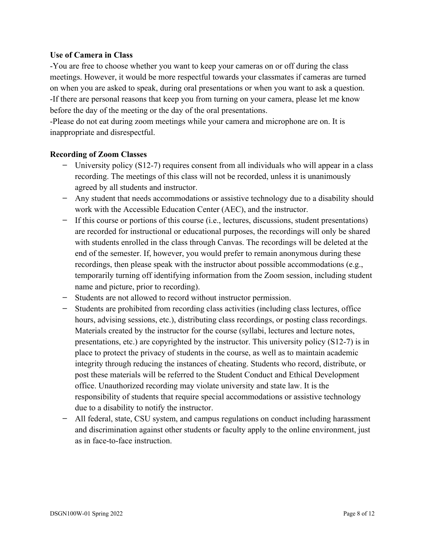#### **Use of Camera in Class**

-You are free to choose whether you want to keep your cameras on or off during the class meetings. However, it would be more respectful towards your classmates if cameras are turned on when you are asked to speak, during oral presentations or when you want to ask a question. -If there are personal reasons that keep you from turning on your camera, please let me know before the day of the meeting or the day of the oral presentations.

-Please do not eat during zoom meetings while your camera and microphone are on. It is inappropriate and disrespectful.

#### **Recording of Zoom Classes**

- **−** University policy (S12-7) requires consent from all individuals who will appear in a class recording. The meetings of this class will not be recorded, unless it is unanimously agreed by all students and instructor.
- **−** Any student that needs accommodations or assistive technology due to a disability should work with the Accessible Education Center (AEC), and the instructor.
- **−** If this course or portions of this course (i.e., lectures, discussions, student presentations) are recorded for instructional or educational purposes, the recordings will only be shared with students enrolled in the class through Canvas. The recordings will be deleted at the end of the semester. If, however, you would prefer to remain anonymous during these recordings, then please speak with the instructor about possible accommodations (e.g., temporarily turning off identifying information from the Zoom session, including student name and picture, prior to recording).
- **−** Students are not allowed to record without instructor permission.
- **−** Students are prohibited from recording class activities (including class lectures, office hours, advising sessions, etc.), distributing class recordings, or posting class recordings. Materials created by the instructor for the course (syllabi, lectures and lecture notes, presentations, etc.) are copyrighted by the instructor. This university policy (S12-7) is in place to protect the privacy of students in the course, as well as to maintain academic integrity through reducing the instances of cheating. Students who record, distribute, or post these materials will be referred to the Student Conduct and Ethical Development office. Unauthorized recording may violate university and state law. It is the responsibility of students that require special accommodations or assistive technology due to a disability to notify the instructor.
- **−** All federal, state, CSU system, and campus regulations on conduct including harassment and discrimination against other students or faculty apply to the online environment, just as in face-to-face instruction.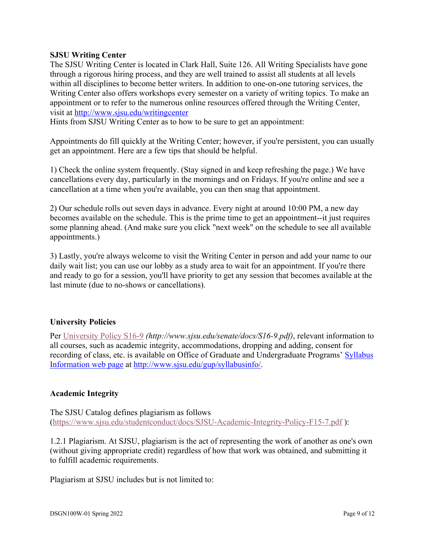#### **SJSU Writing Center**

The SJSU Writing Center is located in Clark Hall, Suite 126. All Writing Specialists have gone through a rigorous hiring process, and they are well trained to assist all students at all levels within all disciplines to become better writers. In addition to one-on-one tutoring services, the Writing Center also offers workshops every semester on a variety of writing topics. To make an appointment or to refer to the numerous online resources offered through the Writing Center, visit at http://www.sjsu.edu/writingcenter

Hints from SJSU Writing Center as to how to be sure to get an appointment:

Appointments do fill quickly at the Writing Center; however, if you're persistent, you can usually get an appointment. Here are a few tips that should be helpful.

1) Check the online system frequently. (Stay signed in and keep refreshing the page.) We have cancellations every day, particularly in the mornings and on Fridays. If you're online and see a cancellation at a time when you're available, you can then snag that appointment.

2) Our schedule rolls out seven days in advance. Every night at around 10:00 PM, a new day becomes available on the schedule. This is the prime time to get an appointment--it just requires some planning ahead. (And make sure you click "next week" on the schedule to see all available appointments.)

3) Lastly, you're always welcome to visit the Writing Center in person and add your name to our daily wait list; you can use our lobby as a study area to wait for an appointment. If you're there and ready to go for a session, you'll have priority to get any session that becomes available at the last minute (due to no-shows or cancellations).

#### **University Policies**

Per University Policy S16-9 *(http://www.sjsu.edu/senate/docs/S16-9.pdf)*, relevant information to all courses, such as academic integrity, accommodations, dropping and adding, consent for recording of class, etc. is available on Office of Graduate and Undergraduate Programs' Syllabus Information web page at http://www.sjsu.edu/gup/syllabusinfo/.

#### **Academic Integrity**

The SJSU Catalog defines plagiarism as follows (https://www.sjsu.edu/studentconduct/docs/SJSU-Academic-Integrity-Policy-F15-7.pdf ):

1.2.1 Plagiarism. At SJSU, plagiarism is the act of representing the work of another as one's own (without giving appropriate credit) regardless of how that work was obtained, and submitting it to fulfill academic requirements.

Plagiarism at SJSU includes but is not limited to: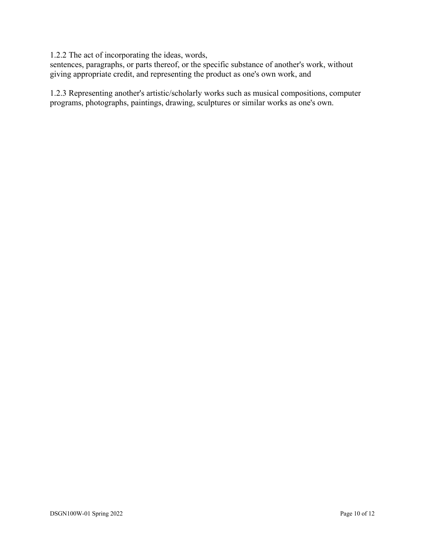1.2.2 The act of incorporating the ideas, words,

sentences, paragraphs, or parts thereof, or the specific substance of another's work, without giving appropriate credit, and representing the product as one's own work, and

1.2.3 Representing another's artistic/scholarly works such as musical compositions, computer programs, photographs, paintings, drawing, sculptures or similar works as one's own.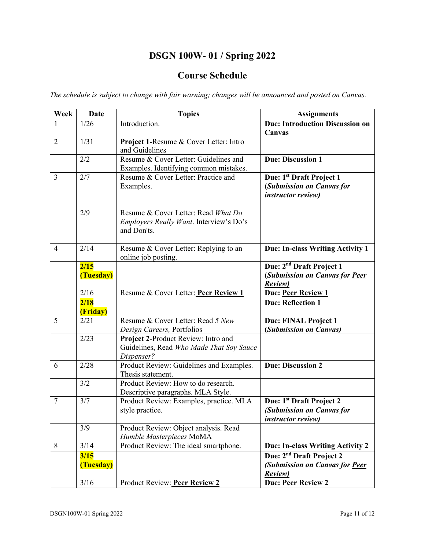# **DSGN 100W- 01 / Spring 2022**

# **Course Schedule**

*The schedule is subject to change with fair warning; changes will be announced and posted on Canvas.* 

| Week           | <b>Date</b>       | <b>Topics</b>                                                                                 | <b>Assignments</b>                                                                             |
|----------------|-------------------|-----------------------------------------------------------------------------------------------|------------------------------------------------------------------------------------------------|
|                | 1/26              | Introduction.                                                                                 | <b>Due: Introduction Discussion on</b>                                                         |
|                |                   |                                                                                               | Canvas                                                                                         |
| $\overline{2}$ | 1/31              | Project 1-Resume & Cover Letter: Intro<br>and Guidelines                                      |                                                                                                |
|                | 2/2               | Resume & Cover Letter: Guidelines and<br>Examples. Identifying common mistakes.               | <b>Due: Discussion 1</b>                                                                       |
| $\overline{3}$ | 2/7               | Resume & Cover Letter: Practice and<br>Examples.                                              | Due: 1 <sup>st</sup> Draft Project 1<br>(Submission on Canvas for<br><i>instructor review)</i> |
|                | 2/9               | Resume & Cover Letter: Read What Do<br>Employers Really Want. Interview's Do's<br>and Don'ts. |                                                                                                |
| $\overline{4}$ | 2/14              | Resume & Cover Letter: Replying to an<br>online job posting.                                  | Due: In-class Writing Activity 1                                                               |
|                | 2/15              |                                                                                               | Due: 2 <sup>nd</sup> Draft Project 1                                                           |
|                | (Tuesday)         |                                                                                               | (Submission on Canvas for Peer<br><b>Review</b> )                                              |
|                | 2/16              | Resume & Cover Letter: Peer Review 1                                                          | <b>Due: Peer Review 1</b>                                                                      |
|                | 2/18<br>(Friday)  |                                                                                               | <b>Due: Reflection 1</b>                                                                       |
| 5              | 2/21              | Resume & Cover Letter: Read 5 New<br>Design Careers, Portfolios                               | Due: FINAL Project 1<br>(Submission on Canvas)                                                 |
|                | 2/23              | Project 2-Product Review: Intro and<br>Guidelines, Read Who Made That Soy Sauce<br>Dispenser? |                                                                                                |
| 6              | 2/28              | Product Review: Guidelines and Examples.<br>Thesis statement.                                 | <b>Due: Discussion 2</b>                                                                       |
|                | 3/2               | Product Review: How to do research.<br>Descriptive paragraphs. MLA Style.                     |                                                                                                |
| $\overline{7}$ | 3/7               | Product Review: Examples, practice. MLA<br>style practice.                                    | Due: 1 <sup>st</sup> Draft Project 2<br>(Submission on Canvas for<br><i>instructor review)</i> |
|                | 3/9               | Product Review: Object analysis. Read<br>Humble Masterpieces MoMA                             |                                                                                                |
| 8              | $3/14$            | Product Review: The ideal smartphone.                                                         | Due: In-class Writing Activity 2                                                               |
|                | 3/15<br>(Tuesday) |                                                                                               | Due: 2 <sup>nd</sup> Draft Project 2<br>(Submission on Canvas for Peer<br><b>Review</b> )      |
|                | 3/16              | Product Review: Peer Review 2                                                                 | <b>Due: Peer Review 2</b>                                                                      |